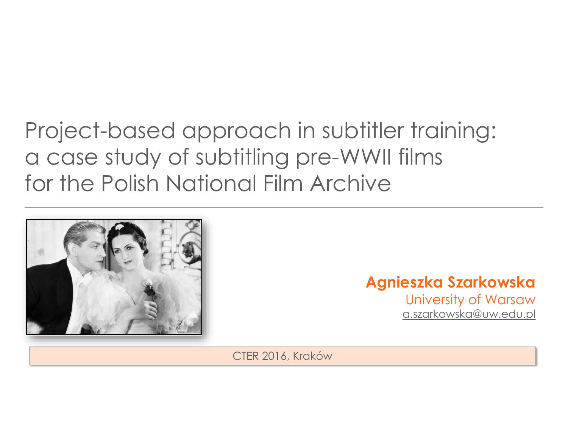#### Project-based approach in subtitler training: a case study of subtitling pre-WWII films for the Polish National Film Archive



#### **Agnieszka Szarkowska**

University of Warsaw [a.szarkowska@uw.edu.pl](mailto:a.szarkowska@uw.edu.pl)

CTER 2016, Kraków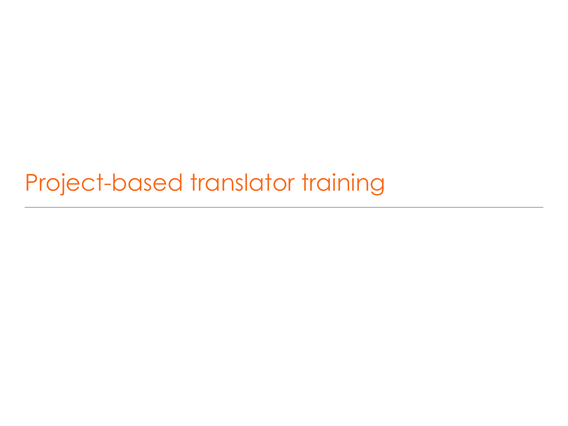#### Project-based translator training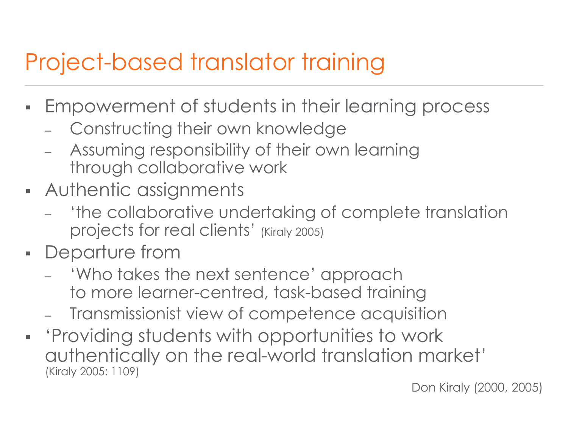#### Project-based translator training

- Empowerment of students in their learning process
	- Constructing their own knowledge
	- Assuming responsibility of their own learning through collaborative work
- Authentic assignments
	- 'the collaborative undertaking of complete translation projects for real clients' (Kiraly 2005)
- **Departure from** 
	- 'Who takes the next sentence' approach to more learner-centred, task-based training
	- Transmissionist view of competence acquisition
- 'Providing students with opportunities to work authentically on the real-world translation market' (Kiraly 2005: 1109)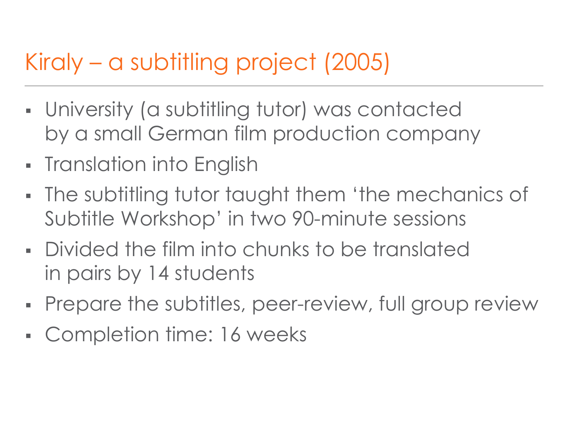## Kiraly – a subtitling project (2005)

- University (a subtitling tutor) was contacted by a small German film production company
- **Translation into English**
- The subtitling tutor taught them 'the mechanics of Subtitle Workshop' in two 90-minute sessions
- Divided the film into chunks to be translated in pairs by 14 students
- Prepare the subtitles, peer-review, full group review
- Completion time: 16 weeks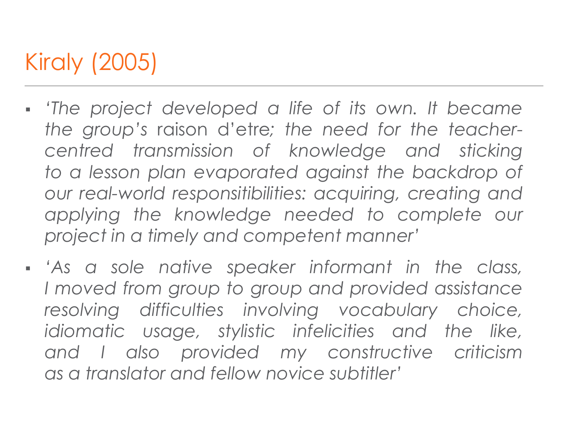## Kiraly (2005)

- *'The project developed a life of its own. It became the group's* raison d'etre*; the need for the teachercentred transmission of knowledge and sticking to a lesson plan evaporated against the backdrop of our real-world responsitibilities: acquiring, creating and applying the knowledge needed to complete our project in a timely and competent manner'*
- *'As a sole native speaker informant in the class, I moved from group to group and provided assistance resolving difficulties involving vocabulary choice, idiomatic usage, stylistic infelicities and the like, and I also provided my constructive criticism as a translator and fellow novice subtitler'*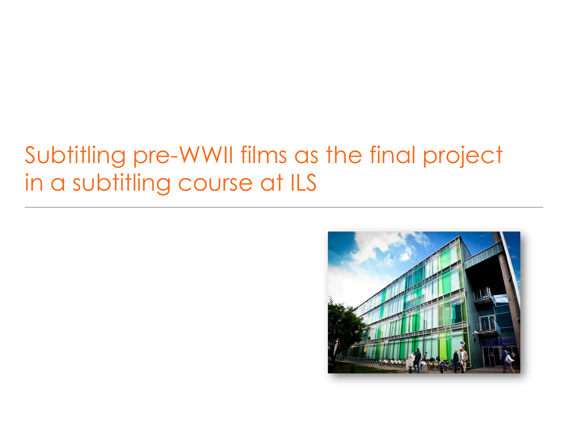### Subtitling pre-WWII films as the final project in a subtitling course at ILS

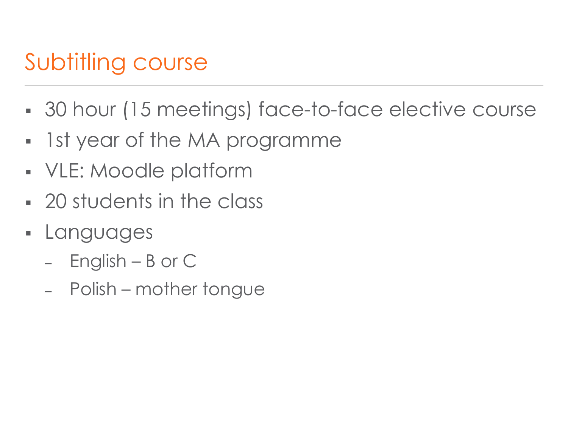## Subtitling course

- 30 hour (15 meetings) face-to-face elective course
- 1st year of the MA programme
- VLE: Moodle platform
- **20 students in the class**
- Languages
	- English B or C
	- Polish mother tongue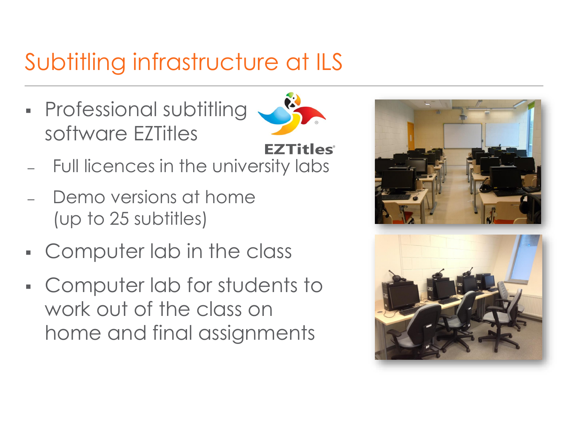## Subtitling infrastructure at ILS

**- Professional subtitling** software EZTitles



- **EZTitles** Full licences in the university labs
- Demo versions at home (up to 25 subtitles)
- Computer lab in the class
- Computer lab for students to work out of the class on home and final assignments



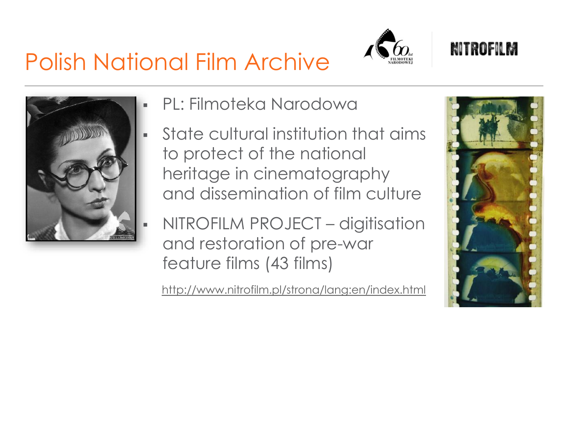

#### **MITROFILM**



PL: Filmoteka Narodowa

Polish National Film Archive

- State cultural institution that aims to protect of the national heritage in cinematography and dissemination of film culture
- NITROFILM PROJECT digitisation and restoration of pre-war feature films (43 films)

<http://www.nitrofilm.pl/strona/lang:en/index.html>

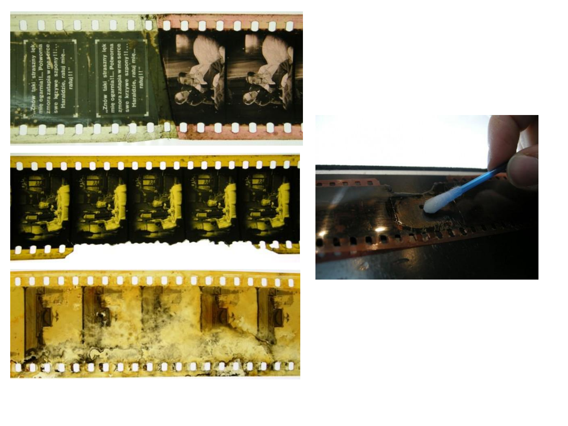





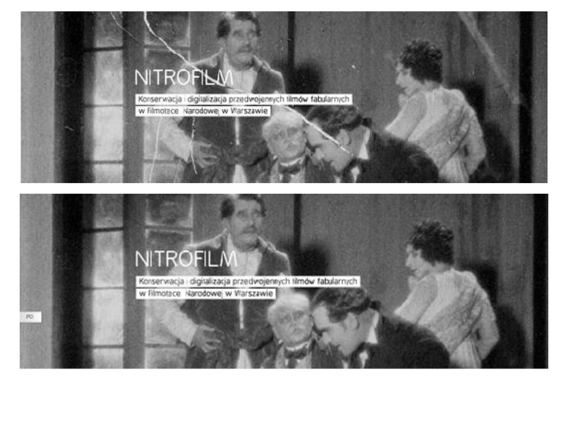

# NITROFILM Konserwacja i digitalizacja przedwojennych filmów fabularnych w Filmotace Narodowej w Warszawie PO.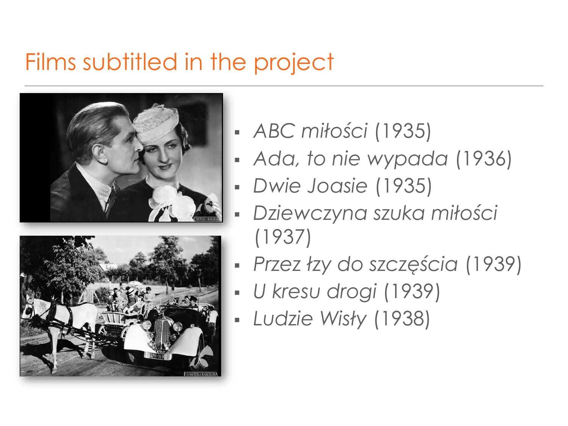### Films subtitled in the project



- *ABC miłości* (1935)
- *Ada, to nie wypada* (1936)
- *Dwie Joasie* (1935)
	- *Dziewczyna szuka miłości*  (1937)
- *Przez łzy do szczęścia* (1939)
- *U kresu drogi* (1939)
- *Ludzie Wisły* (1938)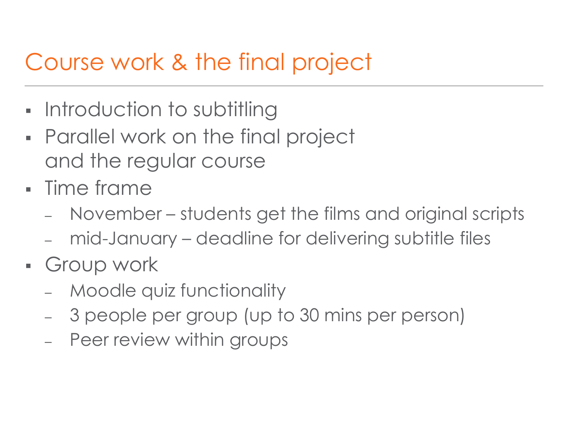#### Course work & the final project

- **Introduction to subtitling**
- Parallel work on the final project and the regular course
- Time frame
	- November students get the films and original scripts
	- mid-January deadline for delivering subtitle files
- Group work
	- Moodle quiz functionality
	- 3 people per group (up to 30 mins per person)
	- Peer review within groups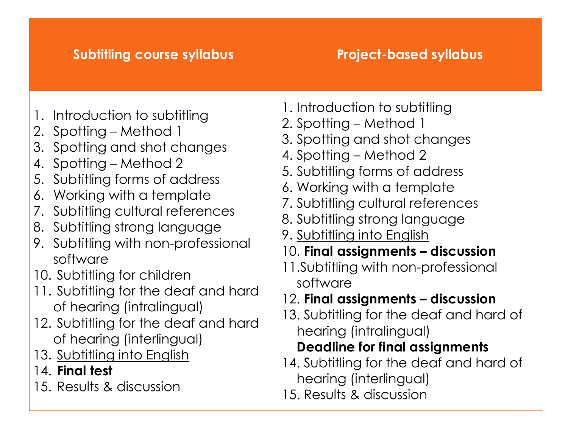#### **Subtitling course syllabus Project-based syllabus**

- 1. Introduction to subtitling
- 2. Spotting Method 1
- 3. Spotting and shot changes
- 4. Spotting Method 2
- 5. Subtitling forms of address
- 6. Working with a template
- 7. Subtitling cultural references
- 8. Subtitling strong language
- 9. Subtitling with non-professional software
- 10. Subtitling for children
- 11. Subtitling for the deaf and hard of hearing (intralingual)
- 12. Subtitling for the deaf and hard of hearing (interlingual)
- 13. Subtitling into English
- 14. **Final test**
- 15. Results & discussion
- 1. Introduction to subtitling
- 2. Spotting Method 1
- 3. Spotting and shot changes
- 4. Spotting Method 2
- 5. Subtitling forms of address
- 6. Working with a template
- 7. Subtitling cultural references
- 8. Subtitling strong language
- 9. Subtitling into English
- 10. **Final assignments – discussion**
- 11.Subtitling with non-professional software
- 12. **Final assignments – discussion**
- 13. Subtitling for the deaf and hard of hearing (intralingual)

#### **Deadline for final assignments**

- 14. Subtitling for the deaf and hard of hearing (interlingual)
- 15. Results & discussion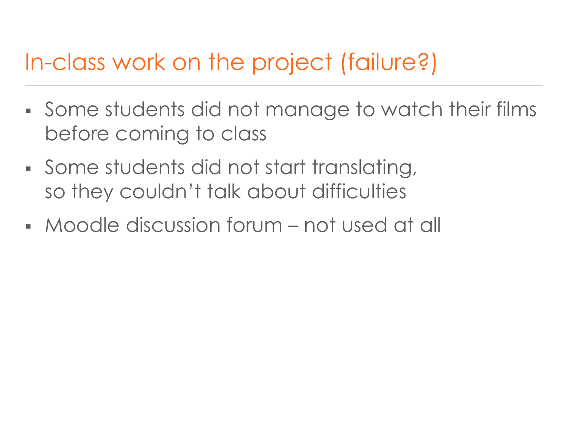#### In-class work on the project (failure?)

- Some students did not manage to watch their films before coming to class
- Some students did not start translating, so they couldn't talk about difficulties
- Moodle discussion forum not used at all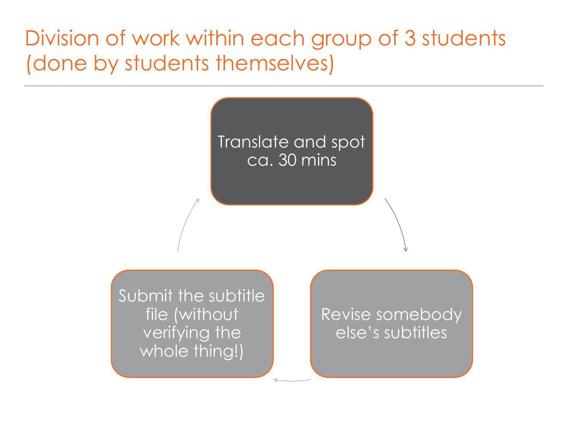#### Division of work within each group of 3 students (done by students themselves)

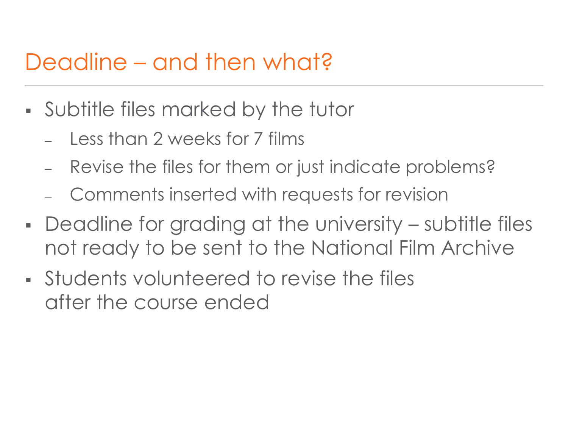#### Deadline – and then what?

- Subtitle files marked by the tutor
	- Less than 2 weeks for 7 films
	- Revise the files for them or just indicate problems?
	- Comments inserted with requests for revision
- Deadline for grading at the university subtitle files not ready to be sent to the National Film Archive
- Students volunteered to revise the files after the course ended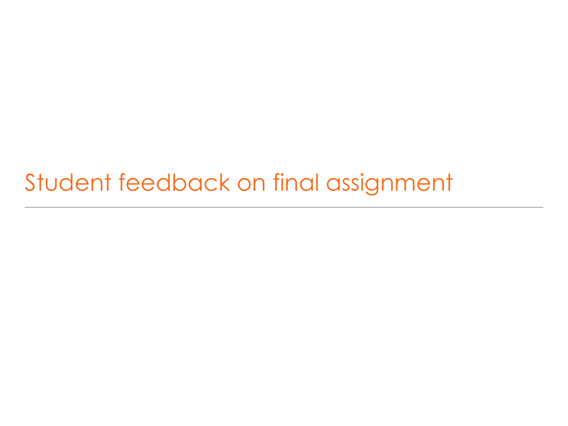#### Student feedback on final assignment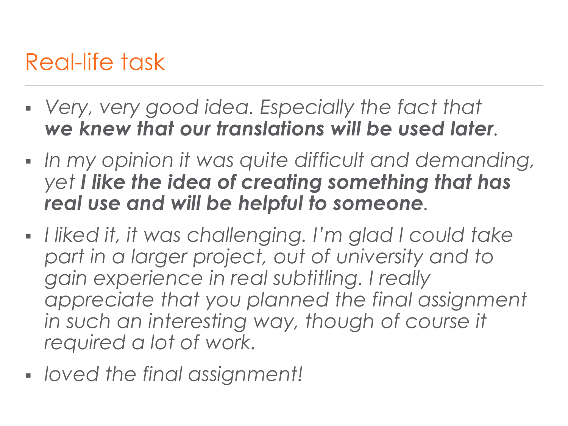### Real-life task

- *Very, very good idea. Especially the fact that we knew that our translations will be used later.*
- *In my opinion it was quite difficult and demanding, yet I like the idea of creating something that has real use and will be helpful to someone.*
- *I liked it, it was challenging. I'm glad I could take part in a larger project, out of university and to gain experience in real subtitling. I really appreciate that you planned the final assignment in such an interesting way, though of course it required a lot of work.*
- *loved the final assignment!*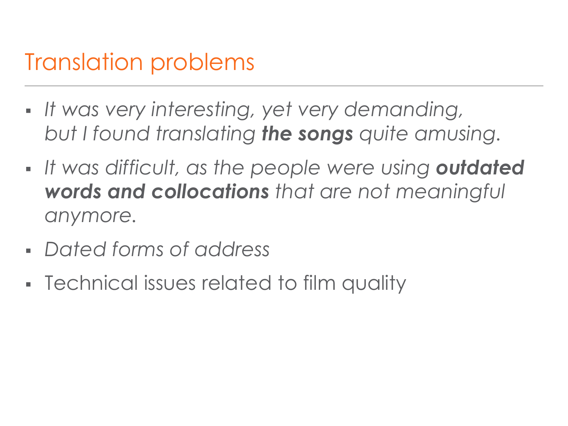#### Translation problems

- *It was very interesting, yet very demanding, but I found translating the songs quite amusing.*
- *It was difficult, as the people were using outdated words and collocations that are not meaningful anymore.*
- *Dated forms of address*
- Technical issues related to film quality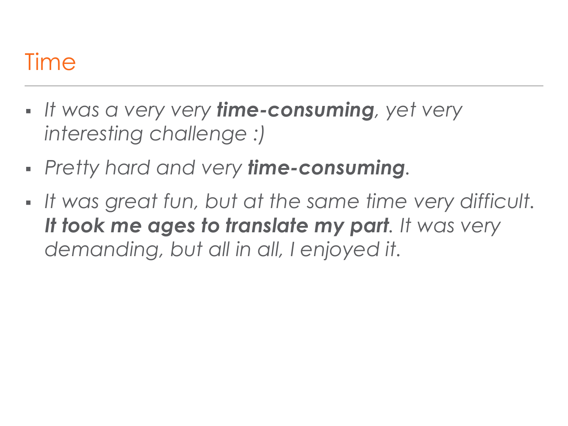#### Time

- *It was a very very time-consuming, yet very interesting challenge :)*
- *Pretty hard and very time-consuming.*
- *It was great fun, but at the same time very difficult. It took me ages to translate my part. It was very demanding, but all in all, I enjoyed it.*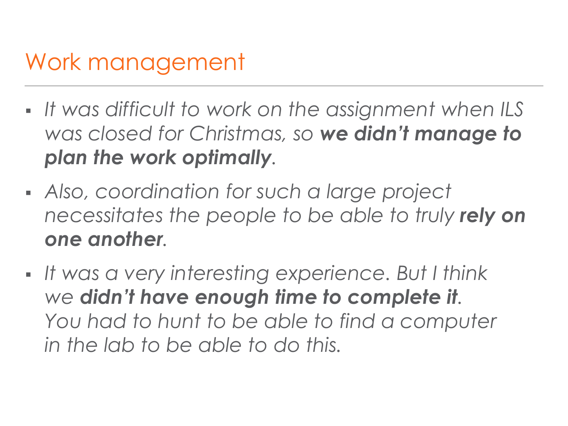#### Work management

- *It was difficult to work on the assignment when ILS was closed for Christmas, so we didn't manage to plan the work optimally.*
- *Also, coordination for such a large project necessitates the people to be able to truly rely on one another.*
- *It was a very interesting experience. But I think we didn't have enough time to complete it. You had to hunt to be able to find a computer in the lab to be able to do this.*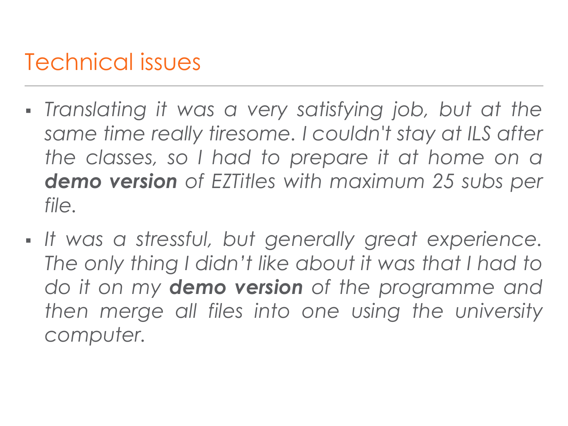#### Technical issues

- *Translating it was a very satisfying job, but at the same time really tiresome. I couldn't stay at ILS after the classes, so I had to prepare it at home on a demo version of EZTitles with maximum 25 subs per file.*
- *It was a stressful, but generally great experience. The only thing I didn't like about it was that I had to do it on my demo version of the programme and then merge all files into one using the university computer.*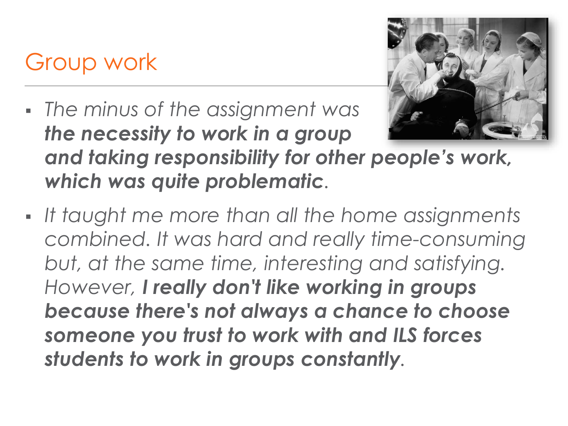#### Group work

 *The minus of the assignment was the necessity to work in a group* 



- *and taking responsibility for other people's work, which was quite problematic.*
- *It taught me more than all the home assignments combined. It was hard and really time-consuming but, at the same time, interesting and satisfying. However, I really don't like working in groups because there's not always a chance to choose someone you trust to work with and ILS forces students to work in groups constantly.*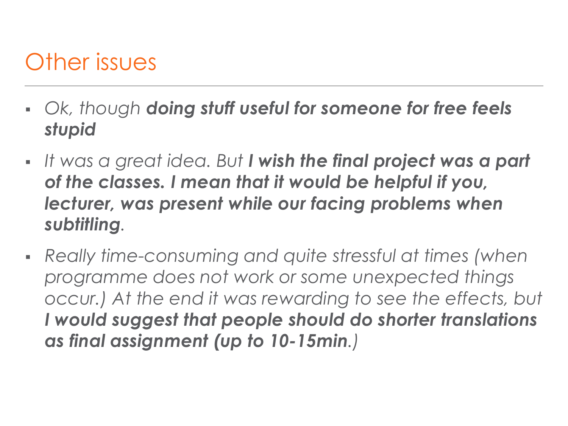### Other issues

- *Ok, though doing stuff useful for someone for free feels stupid*
- *It was a great idea. But I wish the final project was a part of the classes. I mean that it would be helpful if you, lecturer, was present while our facing problems when subtitling.*
- *Really time-consuming and quite stressful at times (when programme does not work or some unexpected things occur.) At the end it was rewarding to see the effects, but I would suggest that people should do shorter translations as final assignment (up to 10-15min.)*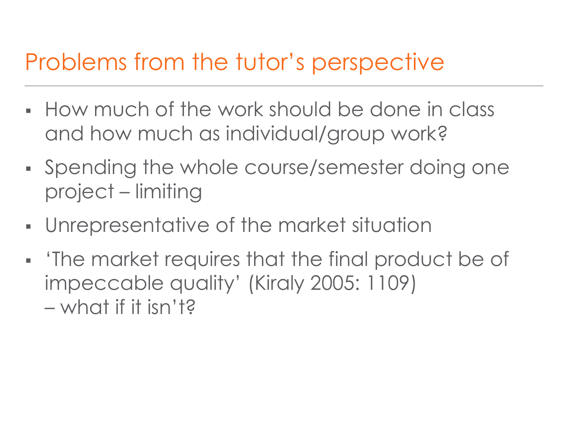#### Problems from the tutor's perspective

- **How much of the work should be done in class** and how much as individual/group work?
- Spending the whole course/semester doing one project – limiting
- Unrepresentative of the market situation
- 'The market requires that the final product be of impeccable quality' (Kiraly 2005: 1109) – what if it isn't?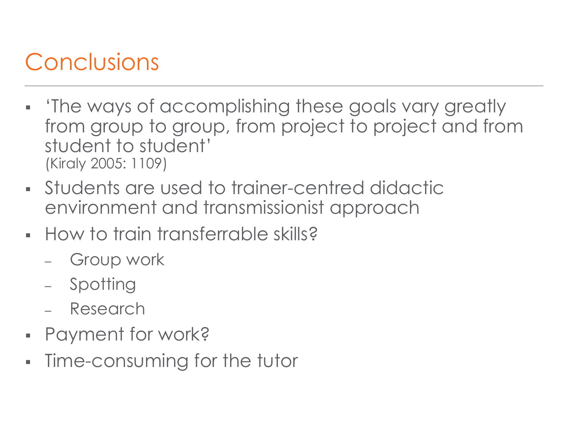### Conclusions

- 'The ways of accomplishing these goals vary greatly from group to group, from project to project and from student to student' (Kiraly 2005: 1109)
- Students are used to trainer-centred didactic environment and transmissionist approach
- **How to train transferrable skills?** 
	- Group work
	- **Spotting**
	- Research
- Payment for work?
- Time-consuming for the tutor